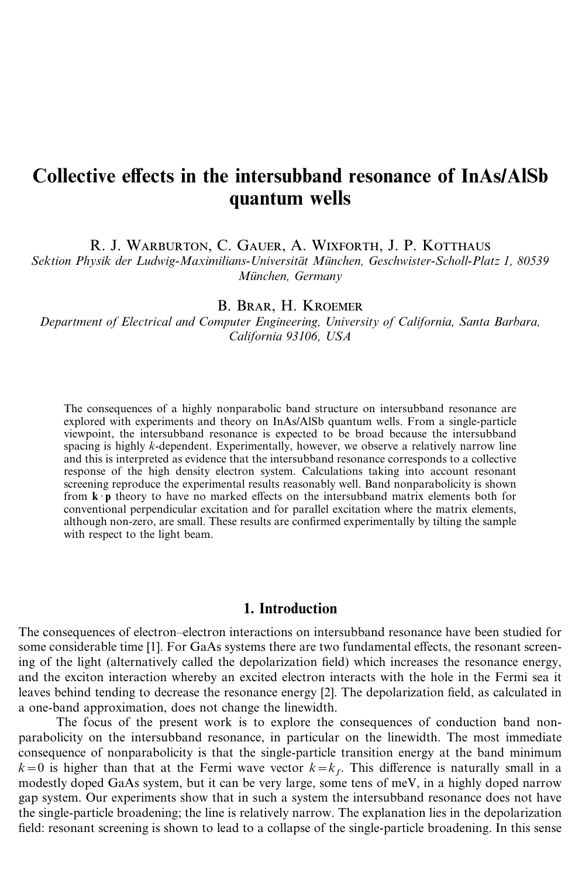# Collective effects in the intersubband resonance of InAs**/**AlSb quantum wells

R. J. WARBURTON, C. GAUER, A. WIXFORTH, J. P. KOTTHAUS

*Sektion Physik der Ludwig-Maximilians-Universita¨t Mu¨nchen, Geschwister-Scholl-Platz 1, 80539 Mu¨nchen, Germany*

#### B. BRAR, H. KROEMER

*Department of Electrical and Computer Engineering, University of California, Santa Barbara, California 93106, USA*

The consequences of a highly nonparabolic band structure on intersubband resonance are explored with experiments and theory on InAs/AlSb quantum wells. From a single-particle viewpoint, the intersubband resonance is expected to be broad because the intersubband spacing is highly *k*-dependent. Experimentally, however, we observe a relatively narrow line and this is interpreted as evidence that the intersubband resonance corresponds to a collective response of the high density electron system. Calculations taking into account resonant screening reproduce the experimental results reasonably well. Band nonparabolicity is shown from  $\mathbf{k} \cdot \mathbf{p}$  theory to have no marked effects on the intersubband matrix elements both for conventional perpendicular excitation and for parallel excitation where the matrix elements, although non-zero, are small. These results are confirmed experimentally by tilting the sample with respect to the light beam.

# 1. Introduction

The consequences of electron–electron interactions on intersubband resonance have been studied for some considerable time [1]. For GaAs systems there are two fundamental effects, the resonant screening of the light (alternatively called the depolarization field) which increases the resonance energy, and the exciton interaction whereby an excited electron interacts with the hole in the Fermi sea it leaves behind tending to decrease the resonance energy [2]. The depolarization field, as calculated in a one-band approximation, does not change the linewidth.

The focus of the present work is to explore the consequences of conduction band nonparabolicity on the intersubband resonance, in particular on the linewidth. The most immediate consequence of nonparabolicity is that the single-particle transition energy at the band minimum  $k=0$  is higher than that at the Fermi wave vector  $k=k_f$ . This difference is naturally small in a modestly doped GaAs system, but it can be very large, some tens of meV, in a highly doped narrow gap system. Our experiments show that in such a system the intersubband resonance does not have the single-particle broadening; the line is relatively narrow. The explanation lies in the depolarization field: resonant screening is shown to lead to a collapse of the single-particle broadening. In this sense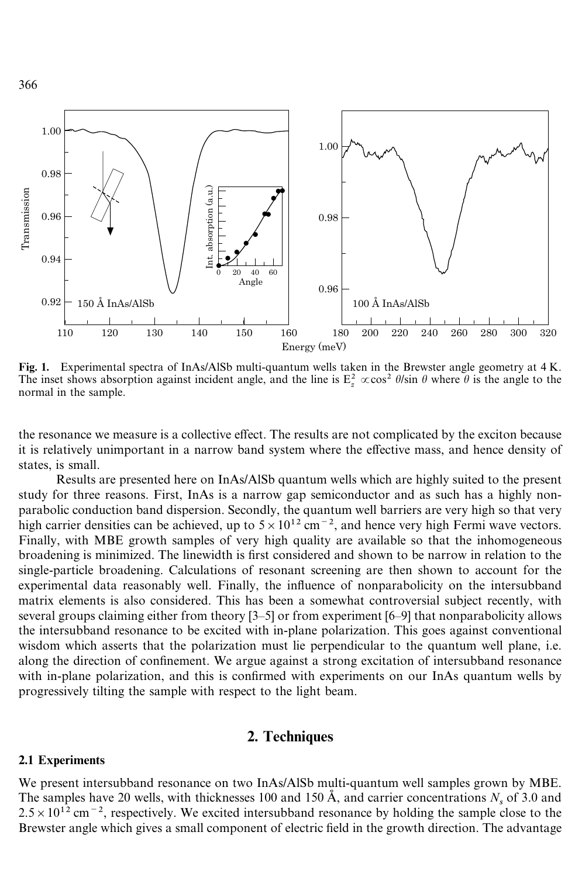

Fig. 1. Experimental spectra of InAs/AlSb multi-quantum wells taken in the Brewster angle geometry at 4 K. The inset shows absorption against incident angle, and the line is  $E_z^2 \propto \cos^2 \theta / \sin \theta$  where  $\theta$  is the angle to the normal in the sample.

the resonance we measure is a collective effect. The results are not complicated by the exciton because it is relatively unimportant in a narrow band system where the effective mass, and hence density of states, is small.

Results are presented here on InAs/AlSb quantum wells which are highly suited to the present study for three reasons. First, InAs is a narrow gap semiconductor and as such has a highly nonparabolic conduction band dispersion. Secondly, the quantum well barriers are very high so that very high carrier densities can be achieved, up to  $5 \times 10^{12}$  cm<sup>-2</sup>, and hence very high Fermi wave vectors. Finally, with MBE growth samples of very high quality are available so that the inhomogeneous broadening is minimized. The linewidth is first considered and shown to be narrow in relation to the single-particle broadening. Calculations of resonant screening are then shown to account for the experimental data reasonably well. Finally, the influence of nonparabolicity on the intersubband matrix elements is also considered. This has been a somewhat controversial subject recently, with several groups claiming either from theory [3–5] or from experiment [6–9] that nonparabolicity allows the intersubband resonance to be excited with in-plane polarization. This goes against conventional wisdom which asserts that the polarization must lie perpendicular to the quantum well plane, i.e. along the direction of confinement. We argue against a strong excitation of intersubband resonance with in-plane polarization, and this is confirmed with experiments on our InAs quantum wells by progressively tilting the sample with respect to the light beam.

## 2. Techniques

#### 2.1 Experiments

We present intersubband resonance on two InAs/AlSb multi-quantum well samples grown by MBE. The samples have 20 wells, with thicknesses 100 and 150  $\AA$ , and carrier concentrations  $N_s$  of 3.0 and The samples have 20 wells, with thicknesses 100 and 150 Å, and carrier concentrations  $N_s$  of 3.0 and  $2.5 \times 10^{12}$  cm<sup>-2</sup>, respectively. We excited intersubband resonance by holding the sample close to the Brewster angle which gives a small component of electric field in the growth direction. The advantage

366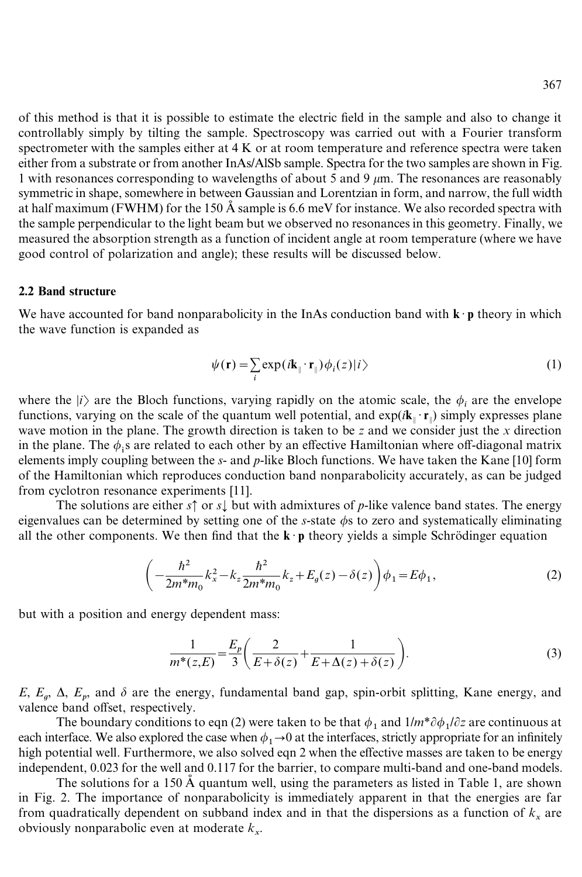of this method is that it is possible to estimate the electric field in the sample and also to change it controllably simply by tilting the sample. Spectroscopy was carried out with a Fourier transform spectrometer with the samples either at  $4 K$  or at room temperature and reference spectra were taken either from a substrate or from another InAs/AlSb sample. Spectra for the two samples are shown in Fig. 1 with resonances corresponding to wavelengths of about 5 and 9  $\mu$ m. The resonances are reasonably symmetric in shape, somewhere in between Gaussian and Lorentzian in form, and narrow, the full width at half maximum (FWHM) for the 150 Å sample is 6.6 meV for instance. We also recorded spectra with the sample perpendicular to the light beam but we observed no resonances in this geometry. Finally, we measured the absorption strength as a function of incident angle at room temperature (where we have good control of polarization and angle); these results will be discussed below.

#### 2.2 Band structure

We have accounted for band nonparabolicity in the InAs conduction band with  $\mathbf{k} \cdot \mathbf{p}$  theory in which the wave function is expanded as

$$
\psi(\mathbf{r}) = \sum_{i} \exp(i\mathbf{k}_{\parallel} \cdot \mathbf{r}_{\parallel}) \phi_i(z) |i\rangle \tag{1}
$$

where the  $|i\rangle$  are the Bloch functions, varying rapidly on the atomic scale, the  $\phi_i$  are the envelope functions, varying on the scale of the quantum well potential, and  $\exp(i\mathbf{k}_{\parallel} \cdot \mathbf{r}_{\parallel})$  simply expresses plane wave motion in the plane. The growth direction is taken to be *z* and we consider just the *x* direction in the plane. The  $\phi_i$ s are related to each other by an effective Hamiltonian where off-diagonal matrix elements imply coupling between the *s*- and *p*-like Bloch functions. We have taken the Kane [10] form of the Hamiltonian which reproduces conduction band nonparabolicity accurately, as can be judged from cyclotron resonance experiments [11].

The solutions are either  $s \uparrow$  or  $s \downarrow$  but with admixtures of *p*-like valence band states. The energy eigenvalues can be determined by setting one of the  $s$ -state  $\phi$ s to zero and systematically eliminating all the other components. We then find that the  $\mathbf{k} \cdot \mathbf{p}$  theory yields a simple Schrödinger equation

$$
\left(-\frac{\hbar^2}{2m^*m_0}k_x^2 - k_z \frac{\hbar^2}{2m^*m_0}k_z + E_g(z) - \delta(z)\right)\phi_1 = E\phi_1,\tag{2}
$$

but with a position and energy dependent mass:

$$
\frac{1}{m^*(z,E)} = \frac{E_p}{3} \left( \frac{2}{E + \delta(z)} + \frac{1}{E + \Delta(z) + \delta(z)} \right). \tag{3}
$$

 $E, E_q, \Delta, E_p$ , and  $\delta$  are the energy, fundamental band gap, spin-orbit splitting, Kane energy, and valence band offset, respectively.

The boundary conditions to eqn (2) were taken to be that  $\phi_1$  and  $1/m^* \partial \phi_1 / \partial z$  are continuous at The boundary conditions to eqn (2) were taken to be that  $\varphi_1$  and  $1m$   $\varphi_1$   $\varphi_2$  are continuous at each interface. We also explored the case when  $\varphi_1 \rightarrow 0$  at the interfaces, strictly appropriate for an infinit high potential well. Furthermore, we also solved eqn 2 when the effective masses are taken to be energy high potential well. Furthermore, we also solved eqn 2 when the effective masses are taken to be energy independent, 0.023 for the well and 0.117 for the barrier, to compare multi-band and one-band models.

The solutions for a 150  $\AA$  quantum well, using the parameters as listed in Table 1, are shown in Fig. 2. The importance of nonparabolicity is immediately apparent in that the energies are far from quadratically dependent on subband index and in that the dispersions as a function of  $k_x$  are obviously nonparabolic even at moderate *k* x.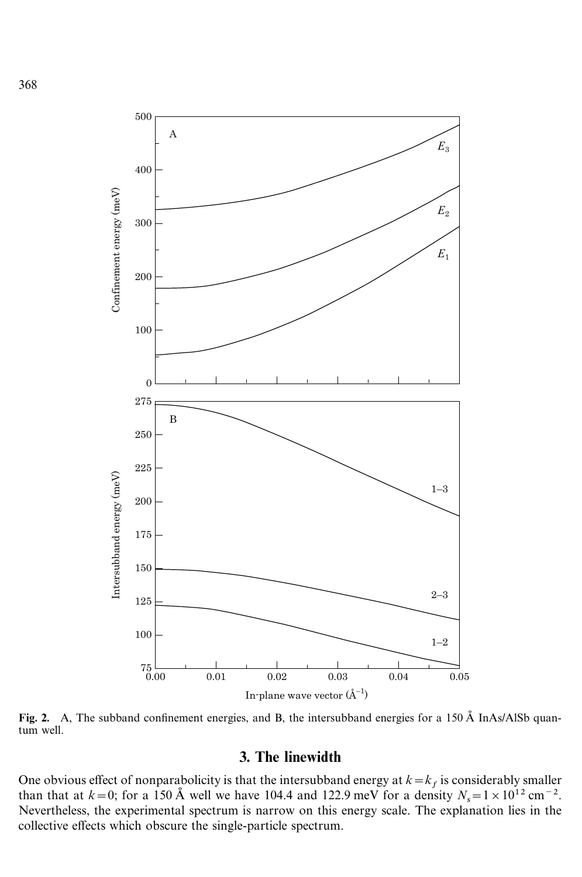

Fig. 2. A, The subband confinement energies, and B, the intersubband energies for a 150  $\AA$  InAs/AlSb quantum well.

# 3. The linewidth

One obvious effect of nonparabolicity is that the intersubband energy at  $k = k_f$  is considerably smaller One obvious effect of nonparabolicity is that the intersubband energy at  $k = k_f$  is considerably smaller than that at  $k = 0$ ; for a 150 Å well we have 104.4 and 122.9 meV for a density  $N_s = 1 \times 10^{12}$  cm<sup>-2</sup>. Nevertheless, the experimental spectrum is narrow on this energy scale. The explanation lies in the collective effects which obscure the single-particle spectrum.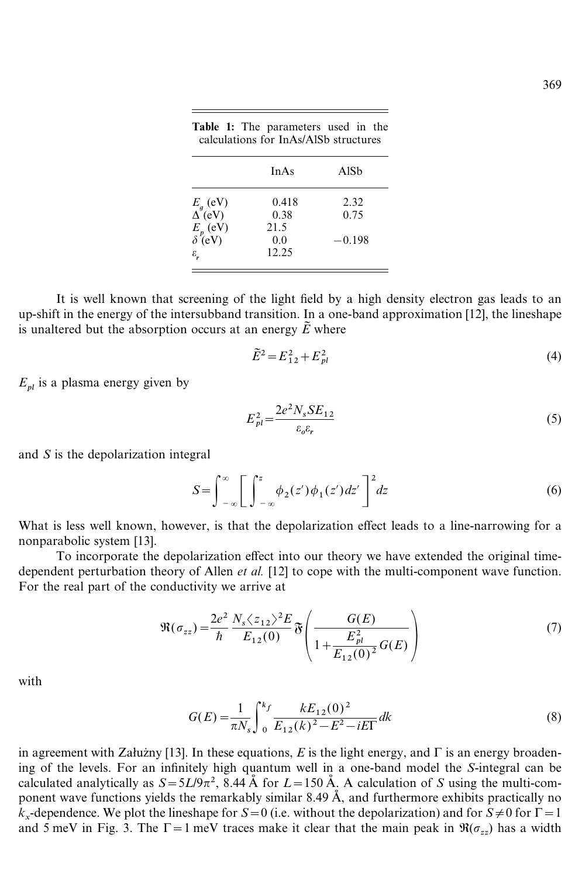|                             | <b>InAs</b>  | AlSh     |
|-----------------------------|--------------|----------|
| $E_g$ (eV)<br>$\Delta$ (eV) | 0.418        | 2.32     |
|                             | 0.38<br>21.5 | 0.75     |
| $E_p$ (eV)<br>$\delta$ (eV) | 0.0          | $-0.198$ |
| $\varepsilon_{\text{r}}$    | 12.25        |          |

Table 1: The parameters used in the calculations for InAs/AlSb structures

It is well known that screening of the light field by a high density electron gas leads to an up-shift in the energy of the intersubband transition. In a one-band approximation [12], the lineshape is unaltered but the absorption occurs at an energy  $\tilde{E}$  where

$$
\tilde{E}^2 = E_{12}^2 + E_{pl}^2 \tag{4}
$$

 $E_{nl}$  is a plasma energy given by

$$
E_{pl}^2 = \frac{2e^2 N_s SE_{12}}{\varepsilon_o \varepsilon_r} \tag{5}
$$

and *S* is the depolarization integral

$$
S = \int_{-\infty}^{\infty} \left[ \int_{-\infty}^{z} \phi_2(z') \phi_1(z') dz' \right]^2 dz
$$
 (6)

What is less well known, however, is that the depolarization effect leads to a line-narrowing for a nonparabolic system [13].

To incorporate the depolarization effect into our theory we have extended the original timedependent perturbation theory of Allen *et al.* [12] to cope with the multi-component wave function. For the real part of the conductivity we arrive at

$$
\Re(\sigma_{zz}) = \frac{2e^2}{\hbar} \frac{N_s \langle z_{12} \rangle^2 E}{E_{12}(0)} \mathfrak{F}\left(\frac{G(E)}{1 + \frac{E_{pl}^2}{E_{12}(0)^2} G(E)}\right) \tag{7}
$$

with

$$
G(E) = \frac{1}{\pi N_s} \int_0^{k_f} \frac{k E_{12}(0)^2}{E_{12}(k)^2 - E^2 - iE\Gamma} dk
$$
 (8)

in agreement with Załużny [13]. In these equations,  $E$  is the light energy, and  $\Gamma$  is an energy broadening of the levels. For an infinitely high quantum well in a one-band model the *S*-integral can be calculated analytically as  $S = \frac{5L}{9\pi^2}$ , 8.44 Å for  $L = 150$  Å. A calculation of *S* using the multi-component wave functions yields the remarkably similar 8.49 Å, and furthermore exhibits practically no  $k_x$ -dependence. We plot the lineshape for *S* = 0 (i.e. without the depolarization) and for *S* ≠ 0 for  $\Gamma$  = 1 *k* xand 5 meV in Fig. 3. The  $\Gamma = 1$  meV traces make it clear that the main peak in  $\Re(\sigma_{zz})$  has a width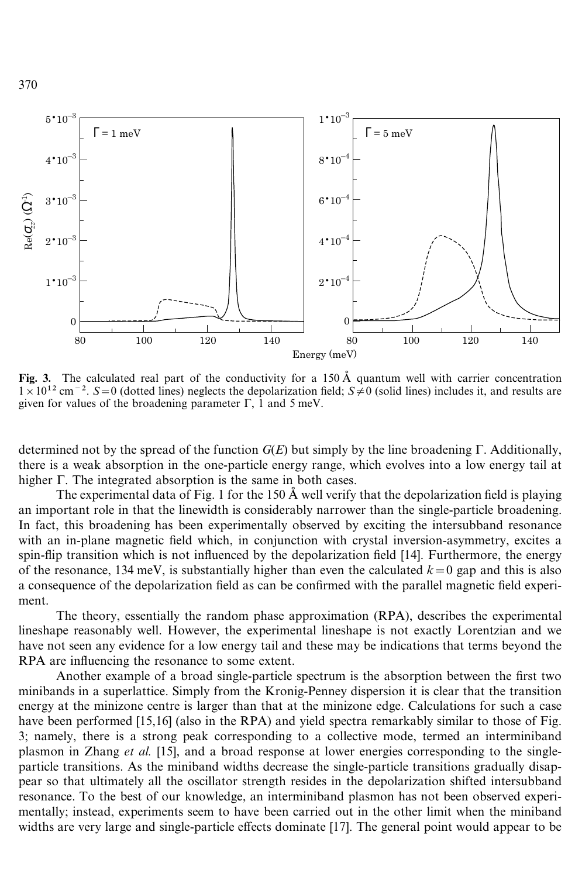

Fig. 3. The calculated real part of the conductivity for a 150  $\AA$  quantum well with carrier concentration  $1 \times 10^{12}$  cm<sup>-2</sup>. *S*=0 (dotted lines) neglects the depolarization field; *S* $\neq$ 0 (solid lines) includes it, and results are given for values of the broadening parameter  $\Gamma$ , 1 and 5 meV.

determined not by the spread of the function  $G(E)$  but simply by the line broadening  $\Gamma$ . Additionally, there is a weak absorption in the one-particle energy range, which evolves into a low energy tail at higher  $\Gamma$ . The integrated absorption is the same in both cases.

The experimental data of Fig. 1 for the 150  $\AA$  well verify that the depolarization field is playing an important role in that the linewidth is considerably narrower than the single-particle broadening. In fact, this broadening has been experimentally observed by exciting the intersubband resonance with an in-plane magnetic field which, in conjunction with crystal inversion-asymmetry, excites a spin-flip transition which is not influenced by the depolarization field [14]. Furthermore, the energy of the resonance, 134 meV, is substantially higher than even the calculated  $k=0$  gap and this is also a consequence of the depolarization field as can be confirmed with the parallel magnetic field experiment.

The theory, essentially the random phase approximation (RPA), describes the experimental lineshape reasonably well. However, the experimental lineshape is not exactly Lorentzian and we have not seen any evidence for a low energy tail and these may be indications that terms beyond the RPA are influencing the resonance to some extent.

Another example of a broad single-particle spectrum is the absorption between the first two minibands in a superlattice. Simply from the Kronig-Penney dispersion it is clear that the transition energy at the minizone centre is larger than that at the minizone edge. Calculations for such a case have been performed [15,16] (also in the RPA) and yield spectra remarkably similar to those of Fig. 3; namely, there is a strong peak corresponding to a collective mode, termed an interminiband plasmon in Zhang *et al.* [15], and a broad response at lower energies corresponding to the singleparticle transitions. As the miniband widths decrease the single-particle transitions gradually disappear so that ultimately all the oscillator strength resides in the depolarization shifted intersubband resonance. To the best of our knowledge, an interminiband plasmon has not been observed experimentally; instead, experiments seem to have been carried out in the other limit when the miniband widths are very large and single-particle effects dominate [17]. The general point would appear to be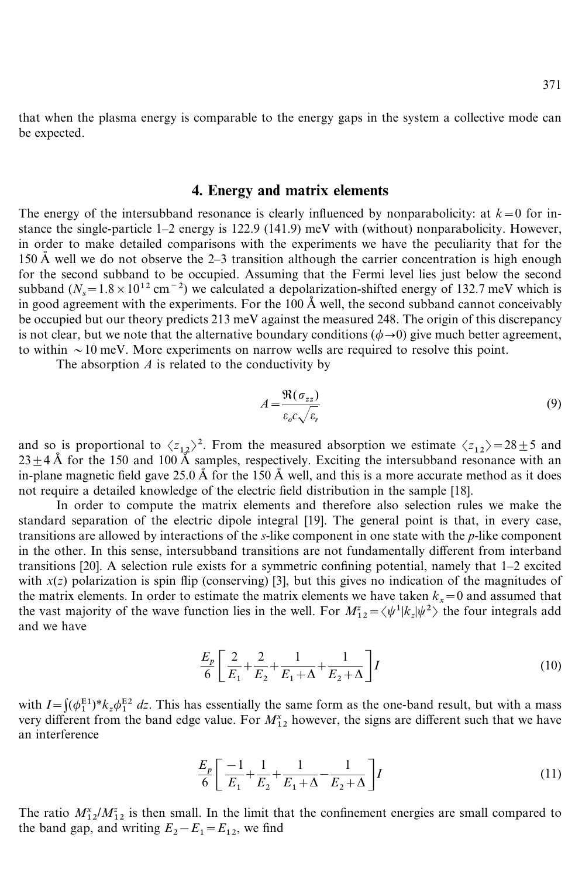that when the plasma energy is comparable to the energy gaps in the system a collective mode can be expected.

# 4. Energy and matrix elements

The energy of the intersubband resonance is clearly influenced by nonparabolicity: at  $k=0$  for instance the single-particle 1–2 energy is 122.9 (141.9) meV with (without) nonparabolicity. However, in order to make detailed comparisons with the experiments we have the peculiarity that for the 150 Å well we do not observe the 2–3 transition although the carrier concentration is high enough for the second subband to be occupied. Assuming that the Fermi level lies just below the second for the second subband to be occupied. Assuming that the Fermi level lies just below the second subband  $(N_s=1.8\times10^{12} \text{ cm}^{-2})$  we calculated a depolarization-shifted energy of 132.7 meV which is in good agreement with the experiments. For the  $100 \text{ Å}$  well, the second subband cannot conceivably be occupied but our theory predicts 213 meV against the measured 248. The origin of this discrepancy is not clear, but we note that the alternative boundary conditions ( $\phi \rightarrow 0$ ) give much better agreement, to within  $\sim$  10 meV. More experiments on narrow wells are required to resolve this point.

The absorption *A* is related to the conductivity by

$$
A = \frac{\Re(\sigma_{zz})}{\varepsilon_o c \sqrt{\varepsilon_r}}\tag{9}
$$

and so is proportional to  $\langle z_{12} \rangle^2$ . From the measured absorption we estimate  $\langle z_{12} \rangle = 28 \pm 5$  and  $23+4$ Å for the 150 and 100 Å samples, respectively. Exciting the intersubband resonance with an in-plane magnetic field gave 25.0  $\AA$  for the 150  $\AA$  well, and this is a more accurate method as it does not require a detailed knowledge of the electric field distribution in the sample [18].

In order to compute the matrix elements and therefore also selection rules we make the standard separation of the electric dipole integral [19]. The general point is that, in every case, transitions are allowed by interactions of the *s*-like component in one state with the *p*-like component in the other. In this sense, intersubband transitions are not fundamentally different from interband transitions [20]. A selection rule exists for a symmetric confining potential, namely that 1–2 excited with  $x(z)$  polarization is spin flip (conserving) [3], but this gives no indication of the magnitudes of the matrix elements. In order to estimate the matrix elements we have taken  $k_x = 0$  and assumed that the vast majority of the wave function lies in the well. For  $M_{12}^z = \langle \psi^1 | k_z | \psi^2 \rangle$  the four integrals add and we have

$$
\frac{E_p}{6} \left[ \frac{2}{E_1} + \frac{2}{E_2} + \frac{1}{E_1 + \Delta} + \frac{1}{E_2 + \Delta} \right] I
$$
\n(10)

with  $I = \int (\phi_1^{E_1})^* k_z \phi_1^{E_2} dz$ . This has essentially the same form as the one-band result, but with a mass with  $I = \int (\varphi_1)^2 \kappa_z \varphi_1 dz$ . This has essentially the same form as the one-band result, but with a mass<br>very different from the band edge value. For  $M_{12}^*$  however, the signs are different such that we have an interference

$$
\frac{E_p}{6} \left[ \frac{-1}{E_1} + \frac{1}{E_2} + \frac{1}{E_1 + \Delta} - \frac{1}{E_2 + \Delta} \right] I \tag{11}
$$

The ratio  $M_{12}^x/M_{12}^z$  is then small. In the limit that the confinement energies are small compared to the band gap, and writing  $E_2 - E_1 = E_{12}$ , we find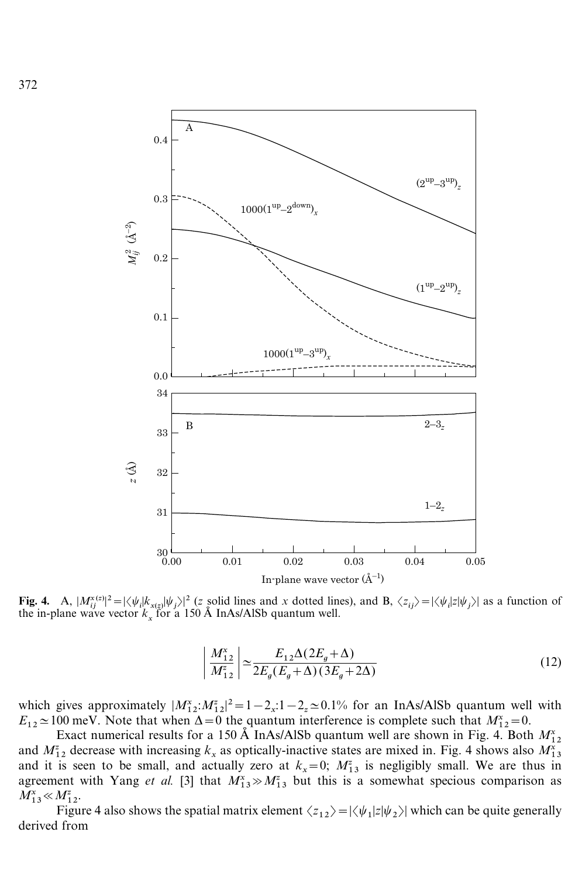

Fig. 4. A,  $|M_i^{x(z)}|^2 = |\langle \psi_i | k_{x(z)} | \psi_j \rangle|^2$  (*z* solid lines and *x* dotted lines), and B,  $\langle z_{ij} \rangle = |\langle \psi_i | z | \psi_j \rangle|$  as a function of the in-plane wave vector  $k_x$  for a 150 Å InAs/AlSb quantum well.

$$
\left| \frac{M_{12}^*}{M_{12}^z} \right| \simeq \frac{E_{12} \Delta (2E_g + \Delta)}{2E_g (E_g + \Delta)(3E_g + 2\Delta)} \tag{12}
$$

which gives approximately  $|M_{12}^x M_{12}^z|^2 = 1 - 2_x: 1 - 2_z \approx 0.1\%$  for an InAs/AlSb quantum well with which gives approximately  $|M_{12}, M_{12}| = 1 - 2_x$ ,  $1 - 2_z \approx 0.176$  for an interstance quantum went<br>  $E_{12} \approx 100$  meV. Note that when  $\Delta = 0$  the quantum interference is complete such that  $M_{12}^x = 0$ .

Exact numerical results for a 150 Å InAs/AlSb quantum well are shown in Fig. 4. Both  $M_{12}^x$ <br>
<sup>2</sup> Assesses with increasing *L*, as entirelly inseting to the set wind in Fig. 4. Both  $M_{12}^x$ Exact numerical results for a 150 Å films/Also quantum wen are shown in Fig. 4. Both  $M_{12}^2$ <br>and  $M_{12}^2$  decrease with increasing  $k_x$  as optically-inactive states are mixed in. Fig. 4 shows also  $M_{13}^x$ and  $M_{12}$  decrease with increasing  $k_x$  as optically-mactive states are finxed in. Fig. 4 shows also  $M_{13}$ <br>and it is seen to be small, and actually zero at  $k_x = 0$ ;  $M_{13}^z$  is negligibly small. We are thus in and it is seen to be sman, and actually zero at  $k_x = 0$ ,  $M_{13}$  is negligibly sman. We are thus in agreement with Yang *et al.* [3] that  $M_{13}^x \gg M_{13}^z$  but this is a somewhat specious comparison as  $M_{13}^x \ll M_{12}^z$ .

Figure 4 also shows the spatial matrix element  $\langle z_{12} \rangle = |\langle \psi_1 | z | \psi_2 \rangle|$  which can be quite generally derived from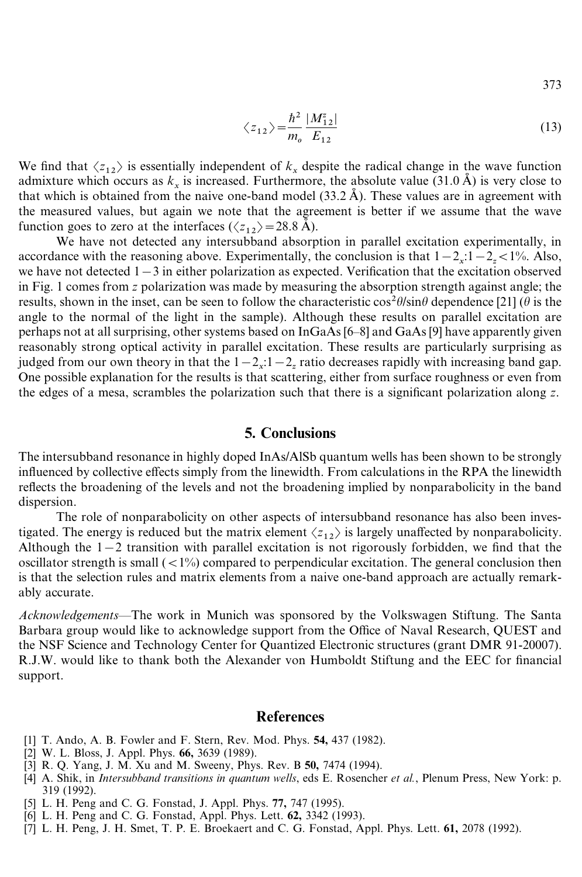373

$$
\langle z_{12} \rangle = \frac{\hbar^2}{m_o} \frac{|M_{12}^z|}{E_{12}}
$$
 (13)

We find that  $\langle z_{12} \rangle$  is essentially independent of  $k_x$  despite the radical change in the wave function we find that  $\langle 2_{12} \rangle$  is essentially independent of  $\kappa_x$  despite the radical change in the wave runction<br>admixture which occurs as  $k_x$  is increased. Furthermore, the absolute value (31.0 Å) is very close to that which is obtained from the naive one-band model  $(33.2 \text{ Å})$ . These values are in agreement with the measured values, but again we note that the agreement is better if we assume that the wave function goes to zero at the interfaces  $(\langle z_{12} \rangle = 28.8 \text{ Å})$ .

 $\frac{1}{2}$  We have not detected any intersubband absorption in parallel excitation experimentally, in accordance with the reasoning above. Experimentally, the conclusion is that  $1-2_x:1-2_z<1\%$ . Also, we have not detected  $1-3$  in either polarization as expected. Verification that the excitation observed in Fig. 1 comes from *z* polarization was made by measuring the absorption strength against angle; the results, shown in the inset, can be seen to follow the characteristic  $\cos^2\theta/\sin\theta$  dependence [21] ( $\theta$  is the angle to the normal of the light in the sample). Although these results on parallel excitation are perhaps not at all surprising, other systems based on InGaAs [6–8] and GaAs [9] have apparently given reasonably strong optical activity in parallel excitation. These results are particularly surprising as judged from our own theory in that the  $1-2_x:1-2_z$  ratio decreases rapidly with increasing band gap. One possible explanation for the results is that scattering, either from surface roughness or even from the edges of a mesa, scrambles the polarization such that there is a significant polarization along *z*.

# 5. Conclusions

The intersubband resonance in highly doped InAs/AlSb quantum wells has been shown to be strongly influenced by collective effects simply from the linewidth. From calculations in the RPA the linewidth reflects the broadening of the levels and not the broadening implied by nonparabolicity in the band dispersion.

The role of nonparabolicity on other aspects of intersubband resonance has also been investigated. The energy is reduced but the matrix element  $\langle z_{12} \rangle$  is largely unaffected by nonparabolicity. Although the  $1-2$  transition with parallel excitation is not rigorously forbidden, we find that the oscillator strength is small  $\left(\langle1\% \rangle\right)$  compared to perpendicular excitation. The general conclusion then is that the selection rules and matrix elements from a naive one-band approach are actually remarkably accurate.

*Acknowledgements—*The work in Munich was sponsored by the Volkswagen Stiftung. The Santa Barbara group would like to acknowledge support from the Office of Naval Research, QUEST and the NSF Science and Technology Center for Quantized Electronic structures (grant DMR 91-20007). R.J.W. would like to thank both the Alexander von Humboldt Stiftung and the EEC for financial support.

#### References

- [1] T. Ando, A. B. Fowler and F. Stern, Rev. Mod. Phys. 54, 437 (1982).
- [2] W. L. Bloss, J. Appl. Phys. 66, 3639 (1989).
- [3] R. Q. Yang, J. M. Xu and M. Sweeny, Phys. Rev. B 50, 7474 (1994).
- [4] A. Shik, in *Intersubband transitions in quantum wells*, eds E. Rosencher *et al.*, Plenum Press, New York: p. 319 (1992).
- [5] L. H. Peng and C. G. Fonstad, J. Appl. Phys. 77, 747 (1995).
- [6] L. H. Peng and C. G. Fonstad, Appl. Phys. Lett. 62, 3342 (1993).
- [7] L. H. Peng, J. H. Smet, T. P. E. Broekaert and C. G. Fonstad, Appl. Phys. Lett. 61, 2078 (1992).